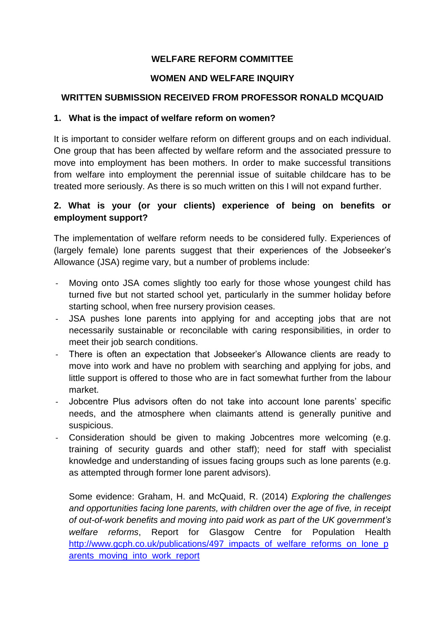# **WELFARE REFORM COMMITTEE**

## **WOMEN AND WELFARE INQUIRY**

#### **WRITTEN SUBMISSION RECEIVED FROM PROFESSOR RONALD MCQUAID**

#### **1. What is the impact of welfare reform on women?**

It is important to consider welfare reform on different groups and on each individual. One group that has been affected by welfare reform and the associated pressure to move into employment has been mothers. In order to make successful transitions from welfare into employment the perennial issue of suitable childcare has to be treated more seriously. As there is so much written on this I will not expand further.

# **2. What is your (or your clients) experience of being on benefits or employment support?**

The implementation of welfare reform needs to be considered fully. Experiences of (largely female) lone parents suggest that their experiences of the Jobseeker's Allowance (JSA) regime vary, but a number of problems include:

- Moving onto JSA comes slightly too early for those whose youngest child has turned five but not started school yet, particularly in the summer holiday before starting school, when free nursery provision ceases.
- JSA pushes lone parents into applying for and accepting jobs that are not necessarily sustainable or reconcilable with caring responsibilities, in order to meet their job search conditions.
- There is often an expectation that Jobseeker's Allowance clients are ready to move into work and have no problem with searching and applying for jobs, and little support is offered to those who are in fact somewhat further from the labour market.
- Jobcentre Plus advisors often do not take into account lone parents' specific needs, and the atmosphere when claimants attend is generally punitive and suspicious.
- Consideration should be given to making Jobcentres more welcoming (e.g. training of security guards and other staff); need for staff with specialist knowledge and understanding of issues facing groups such as lone parents (e.g. as attempted through former lone parent advisors).

Some evidence: Graham, H. and McQuaid, R. (2014) *Exploring the challenges and opportunities facing lone parents, with children over the age of five, in receipt of out-of-work benefits and moving into paid work as part of the UK government's welfare reforms*, Report for Glasgow Centre for Population Health http://www.gcph.co.uk/publications/497 impacts of welfare reforms on lone p arents\_moving\_into\_work\_report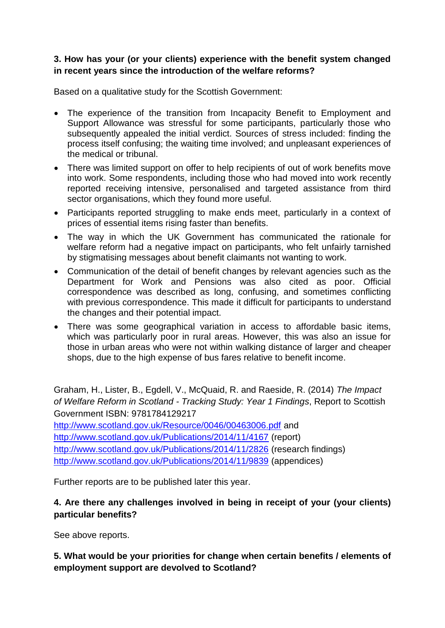#### **3. How has your (or your clients) experience with the benefit system changed in recent years since the introduction of the welfare reforms?**

Based on a qualitative study for the Scottish Government:

- The experience of the transition from Incapacity Benefit to Employment and Support Allowance was stressful for some participants, particularly those who subsequently appealed the initial verdict. Sources of stress included: finding the process itself confusing; the waiting time involved; and unpleasant experiences of the medical or tribunal.
- There was limited support on offer to help recipients of out of work benefits move into work. Some respondents, including those who had moved into work recently reported receiving intensive, personalised and targeted assistance from third sector organisations, which they found more useful.
- Participants reported struggling to make ends meet, particularly in a context of prices of essential items rising faster than benefits.
- The way in which the UK Government has communicated the rationale for welfare reform had a negative impact on participants, who felt unfairly tarnished by stigmatising messages about benefit claimants not wanting to work.
- Communication of the detail of benefit changes by relevant agencies such as the Department for Work and Pensions was also cited as poor. Official correspondence was described as long, confusing, and sometimes conflicting with previous correspondence. This made it difficult for participants to understand the changes and their potential impact.
- There was some geographical variation in access to affordable basic items, which was particularly poor in rural areas. However, this was also an issue for those in urban areas who were not within walking distance of larger and cheaper shops, due to the high expense of bus fares relative to benefit income.

Graham, H., Lister, B., Egdell, V., McQuaid, R. and Raeside, R. (2014) *The Impact of Welfare Reform in Scotland - Tracking Study: Year 1 Findings*, Report to Scottish Government ISBN: 9781784129217 <http://www.scotland.gov.uk/Resource/0046/00463006.pdf> and <http://www.scotland.gov.uk/Publications/2014/11/4167> (report) <http://www.scotland.gov.uk/Publications/2014/11/2826> (research findings) <http://www.scotland.gov.uk/Publications/2014/11/9839> (appendices)

Further reports are to be published later this year.

## **4. Are there any challenges involved in being in receipt of your (your clients) particular benefits?**

See above reports.

**5. What would be your priorities for change when certain benefits / elements of employment support are devolved to Scotland?**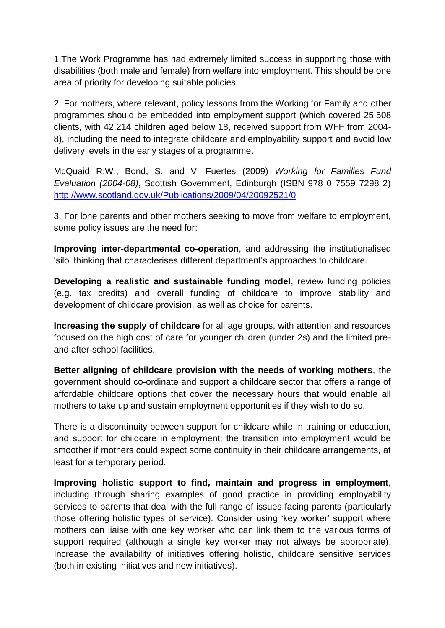1.The Work Programme has had extremely limited success in supporting those with disabilities (both male and female) from welfare into employment. This should be one area of priority for developing suitable policies.

2. For mothers, where relevant, policy lessons from the Working for Family and other programmes should be embedded into employment support (which covered 25,508 clients, with 42,214 children aged below 18, received support from WFF from 2004- 8), including the need to integrate childcare and employability support and avoid low delivery levels in the early stages of a programme.

McQuaid R.W., Bond, S. and V. Fuertes (2009) *Working for Families Fund Evaluation (2004-08)*, Scottish Government, Edinburgh (ISBN 978 0 7559 7298 2) <http://www.scotland.gov.uk/Publications/2009/04/20092521/0>

3. For lone parents and other mothers seeking to move from welfare to employment, some policy issues are the need for:

**Improving inter-departmental co-operation**, and addressing the institutionalised 'silo' thinking that characterises different department's approaches to childcare.

**Developing a realistic and sustainable funding model**, review funding policies (e.g. tax credits) and overall funding of childcare to improve stability and development of childcare provision, as well as choice for parents.

**Increasing the supply of childcare** for all age groups, with attention and resources focused on the high cost of care for younger children (under 2s) and the limited preand after-school facilities.

**Better aligning of childcare provision with the needs of working mothers**, the government should co-ordinate and support a childcare sector that offers a range of affordable childcare options that cover the necessary hours that would enable all mothers to take up and sustain employment opportunities if they wish to do so.

There is a discontinuity between support for childcare while in training or education, and support for childcare in employment; the transition into employment would be smoother if mothers could expect some continuity in their childcare arrangements, at least for a temporary period.

**Improving holistic support to find, maintain and progress in employment**, including through sharing examples of good practice in providing employability services to parents that deal with the full range of issues facing parents (particularly those offering holistic types of service). Consider using 'key worker' support where mothers can liaise with one key worker who can link them to the various forms of support required (although a single key worker may not always be appropriate). Increase the availability of initiatives offering holistic, childcare sensitive services (both in existing initiatives and new initiatives).